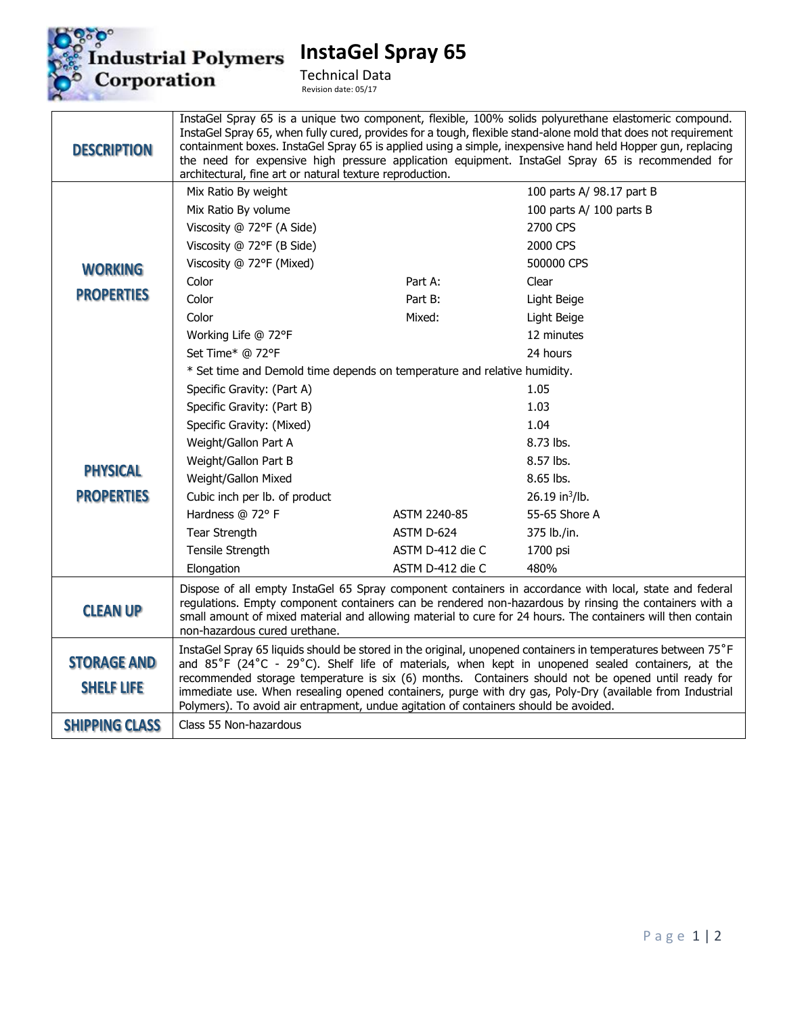

**InstaGel Spray 65**

Technical Data Revision date: 05/17

| <b>DESCRIPTION</b>                      | InstaGel Spray 65 is a unique two component, flexible, 100% solids polyurethane elastomeric compound.<br>InstaGel Spray 65, when fully cured, provides for a tough, flexible stand-alone mold that does not requirement<br>containment boxes. InstaGel Spray 65 is applied using a simple, inexpensive hand held Hopper gun, replacing<br>the need for expensive high pressure application equipment. InstaGel Spray 65 is recommended for                                                                                 |                  |                            |
|-----------------------------------------|----------------------------------------------------------------------------------------------------------------------------------------------------------------------------------------------------------------------------------------------------------------------------------------------------------------------------------------------------------------------------------------------------------------------------------------------------------------------------------------------------------------------------|------------------|----------------------------|
|                                         | architectural, fine art or natural texture reproduction.                                                                                                                                                                                                                                                                                                                                                                                                                                                                   |                  |                            |
|                                         | Mix Ratio By weight                                                                                                                                                                                                                                                                                                                                                                                                                                                                                                        |                  | 100 parts A/ 98.17 part B  |
|                                         | Mix Ratio By volume                                                                                                                                                                                                                                                                                                                                                                                                                                                                                                        |                  | 100 parts A/ 100 parts B   |
|                                         | Viscosity @ 72°F (A Side)                                                                                                                                                                                                                                                                                                                                                                                                                                                                                                  |                  | 2700 CPS                   |
|                                         | Viscosity @ 72°F (B Side)                                                                                                                                                                                                                                                                                                                                                                                                                                                                                                  |                  | 2000 CPS                   |
| <b>WORKING</b>                          | Viscosity @ 72°F (Mixed)                                                                                                                                                                                                                                                                                                                                                                                                                                                                                                   |                  | 500000 CPS                 |
|                                         | Color                                                                                                                                                                                                                                                                                                                                                                                                                                                                                                                      | Part A:          | Clear                      |
| <b>PROPERTIES</b>                       | Color                                                                                                                                                                                                                                                                                                                                                                                                                                                                                                                      | Part B:          | Light Beige                |
|                                         | Color                                                                                                                                                                                                                                                                                                                                                                                                                                                                                                                      | Mixed:           | Light Beige                |
|                                         | Working Life @ 72°F                                                                                                                                                                                                                                                                                                                                                                                                                                                                                                        |                  | 12 minutes                 |
|                                         | Set Time* @ 72°F                                                                                                                                                                                                                                                                                                                                                                                                                                                                                                           |                  | 24 hours                   |
|                                         | * Set time and Demold time depends on temperature and relative humidity.                                                                                                                                                                                                                                                                                                                                                                                                                                                   |                  |                            |
|                                         | Specific Gravity: (Part A)                                                                                                                                                                                                                                                                                                                                                                                                                                                                                                 |                  | 1.05                       |
|                                         | Specific Gravity: (Part B)                                                                                                                                                                                                                                                                                                                                                                                                                                                                                                 |                  | 1.03                       |
|                                         | Specific Gravity: (Mixed)                                                                                                                                                                                                                                                                                                                                                                                                                                                                                                  |                  | 1.04                       |
|                                         | Weight/Gallon Part A                                                                                                                                                                                                                                                                                                                                                                                                                                                                                                       |                  | 8.73 lbs.                  |
|                                         | Weight/Gallon Part B                                                                                                                                                                                                                                                                                                                                                                                                                                                                                                       |                  | 8.57 lbs.                  |
| <b>PHYSICAL</b>                         | Weight/Gallon Mixed                                                                                                                                                                                                                                                                                                                                                                                                                                                                                                        |                  | 8.65 lbs.                  |
| <b>PROPERTIES</b>                       | Cubic inch per lb. of product                                                                                                                                                                                                                                                                                                                                                                                                                                                                                              |                  | 26.19 in <sup>3</sup> /lb. |
|                                         | Hardness @ 72° F                                                                                                                                                                                                                                                                                                                                                                                                                                                                                                           | ASTM 2240-85     | 55-65 Shore A              |
|                                         | Tear Strength                                                                                                                                                                                                                                                                                                                                                                                                                                                                                                              | ASTM D-624       | 375 lb./in.                |
|                                         | Tensile Strength                                                                                                                                                                                                                                                                                                                                                                                                                                                                                                           | ASTM D-412 die C | 1700 psi                   |
|                                         | Elongation                                                                                                                                                                                                                                                                                                                                                                                                                                                                                                                 | ASTM D-412 die C | 480%                       |
| <b>CLEAN UP</b>                         | Dispose of all empty InstaGel 65 Spray component containers in accordance with local, state and federal<br>regulations. Empty component containers can be rendered non-hazardous by rinsing the containers with a<br>small amount of mixed material and allowing material to cure for 24 hours. The containers will then contain<br>non-hazardous cured urethane.                                                                                                                                                          |                  |                            |
| <b>STORAGE AND</b><br><b>SHELF LIFE</b> | InstaGel Spray 65 liquids should be stored in the original, unopened containers in temperatures between 75°F<br>and 85°F (24°C - 29°C). Shelf life of materials, when kept in unopened sealed containers, at the<br>recommended storage temperature is six (6) months. Containers should not be opened until ready for<br>immediate use. When resealing opened containers, purge with dry gas, Poly-Dry (available from Industrial<br>Polymers). To avoid air entrapment, undue agitation of containers should be avoided. |                  |                            |
| <b>SHIPPING CLASS</b>                   | Class 55 Non-hazardous                                                                                                                                                                                                                                                                                                                                                                                                                                                                                                     |                  |                            |
|                                         |                                                                                                                                                                                                                                                                                                                                                                                                                                                                                                                            |                  |                            |